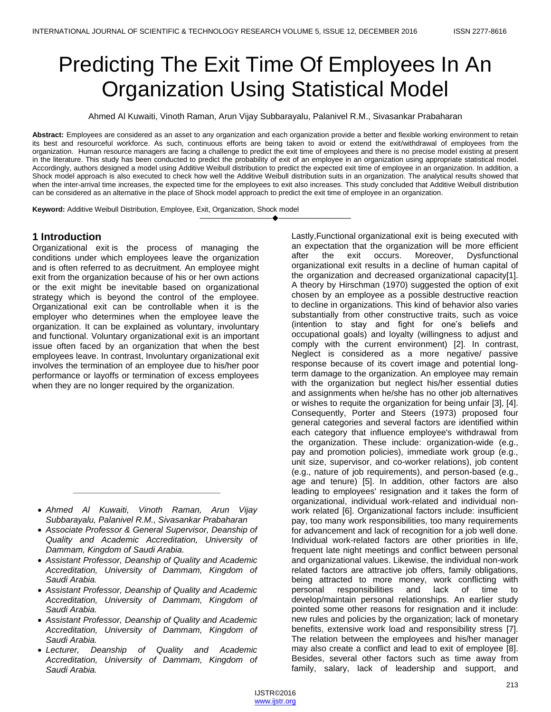# Predicting The Exit Time Of Employees In An Organization Using Statistical Model

Ahmed Al Kuwaiti, Vinoth Raman, Arun Vijay Subbarayalu, Palanivel R.M., Sivasankar Prabaharan

**Abstract:** Employees are considered as an asset to any organization and each organization provide a better and flexible working environment to retain its best and resourceful workforce. As such, continuous efforts are being taken to avoid or extend the exit/withdrawal of employees from the organization. Human resource managers are facing a challenge to predict the exit time of employees and there is no precise model existing at present in the literature. This study has been conducted to predict the probability of exit of an employee in an organization using appropriate statistical model. Accordingly, authors designed a model using Additive Weibull distribution to predict the expected exit time of employee in an organization. In addition, a Shock model approach is also executed to check how well the Additive Weibull distribution suits in an organization. The analytical results showed that when the inter-arrival time increases, the expected time for the employees to exit also increases. This study concluded that Additive Weibull distribution can be considered as an alternative in the place of Shock model approach to predict the exit time of employee in an organization.

————————————————————

**Keyword:** Additive Weibull Distribution, Employee, Exit, Organization, Shock model

# **1 Introduction**

Organizational exit is the process of managing the conditions under which employees leave the organization and is often referred to as decruitment*.* An employee might exit from the organization because of his or her own actions or the exit might be inevitable based on organizational strategy which is beyond the control of the employee. Organizational exit can be controllable when it is the employer who determines when the employee leave the organization. It can be explained as voluntary, involuntary and functional. Voluntary organizational exit is an important issue often faced by an organization that when the best employees leave. In contrast, Involuntary organizational exit involves the termination of an employee due to his/her poor performance or layoffs or termination of excess employees when they are no longer required by the organization.

*\_\_\_\_\_\_\_\_\_\_\_\_\_\_\_\_\_\_\_\_\_\_\_\_\_\_\_\_\_\_\_*

- *Assistant Professor, Deanship of Quality and Academic Accreditation, University of Dammam, Kingdom of Saudi Arabia.*
- *Assistant Professor, Deanship of Quality and Academic Accreditation, University of Dammam, Kingdom of Saudi Arabia.*
- *Assistant Professor, Deanship of Quality and Academic Accreditation, University of Dammam, Kingdom of Saudi Arabia.*
- *Lecturer, Deanship of Quality and Academic Accreditation, University of Dammam, Kingdom of Saudi Arabia.*

Lastly,Functional organizational exit is being executed with an expectation that the organization will be more efficient after the exit occurs. Moreover, Dysfunctional organizational exit results in a decline of human capital of the organization and decreased organizational capacity[1]. A theory by Hirschman (1970) suggested the option of exit chosen by an employee as a possible destructive reaction to decline in organizations. This kind of behavior also varies substantially from other constructive traits, such as voice (intention to stay and fight for one's beliefs and occupational goals) and loyalty (willingness to adjust and comply with the current environment) [2]. In contrast, Neglect is considered as a more negative/ passive response because of its covert image and potential longterm damage to the organization. An employee may remain with the organization but neglect his/her essential duties and assignments when he/she has no other job alternatives or wishes to requite the organization for being unfair [3], [4]. Consequently, Porter and Steers (1973) proposed four general categories and several factors are identified within each category that influence employee's withdrawal from the organization. These include: organization-wide (e.g., pay and promotion policies), immediate work group (e.g., unit size, supervisor, and co-worker relations), job content (e.g., nature of job requirements), and person-based (e.g., age and tenure) [5]. In addition, other factors are also leading to employees' resignation and it takes the form of organizational, individual work-related and individual nonwork related [6]. Organizational factors include: insufficient pay, too many work responsibilities, too many requirements for advancement and lack of recognition for a job well done. Individual work-related factors are other priorities in life, frequent late night meetings and conflict between personal and organizational values. Likewise, the individual non-work related factors are attractive job offers, family obligations, being attracted to more money, work conflicting with personal responsibilities and lack of time to develop/maintain personal relationships. An earlier study pointed some other reasons for resignation and it include: new rules and policies by the organization; lack of monetary benefits, extensive work load and responsibility stress [7]. The relation between the employees and his/her manager may also create a conflict and lead to exit of employee [8]. Besides, several other factors such as time away from family, salary, lack of leadership and support, and

*Ahmed Al Kuwaiti, Vinoth Raman, Arun Vijay Subbarayalu, Palanivel R.M., Sivasankar Prabaharan*

*Associate Professor & General Supervisor, Deanship of Quality and Academic Accreditation, University of Dammam, Kingdom of Saudi Arabia.*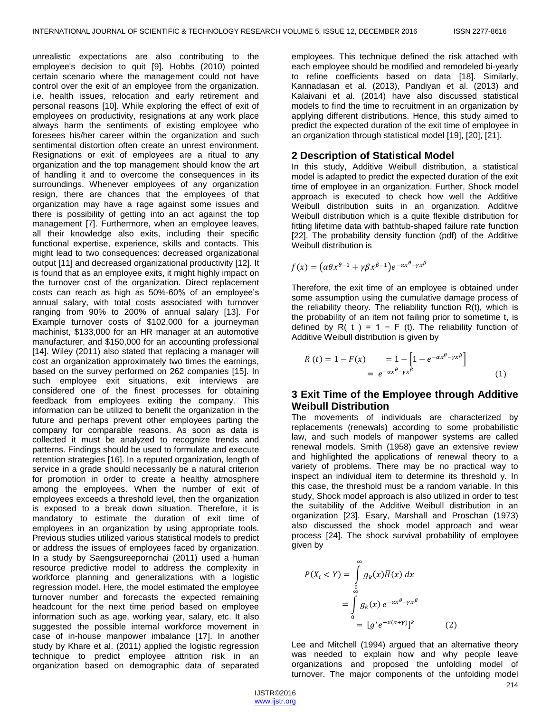unrealistic expectations are also contributing to the employee's decision to quit [9]. Hobbs (2010) pointed certain scenario where the management could not have control over the exit of an employee from the organization. i.e. health issues, relocation and early retirement and personal reasons [10]. While exploring the effect of exit of employees on productivity, resignations at any work place always harm the sentiments of existing employee who foresees his/her career within the organization and such sentimental distortion often create an unrest environment. Resignations or exit of employees are a ritual to any organization and the top management should know the art of handling it and to overcome the consequences in its surroundings. Whenever employees of any organization resign, there are chances that the employees of that organization may have a rage against some issues and there is possibility of getting into an act against the top management [7]. Furthermore, when an employee leaves, all their knowledge also exits, including their specific functional expertise, experience, skills and contacts. This might lead to two consequences: decreased organizational output [11] and decreased organizational productivity [12]. It is found that as an employee exits, it might highly impact on the turnover cost of the organization. Direct replacement costs can reach as high as 50%-60% of an employee's annual salary, with total costs associated with turnover ranging from 90% to 200% of annual salary [13]. For Example turnover costs of \$102,000 for a journeyman machinist, \$133,000 for an HR manager at an automotive manufacturer, and \$150,000 for an accounting professional [14]. Wiley (2011) also stated that replacing a manager will cost an organization approximately two times the earnings, based on the survey performed on 262 companies [15]. In such employee exit situations, exit interviews are considered one of the finest processes for obtaining feedback from employees exiting the company. This information can be utilized to benefit the organization in the future and perhaps prevent other employees parting the company for comparable reasons. As soon as data is collected it must be analyzed to recognize trends and patterns. Findings should be used to formulate and execute retention strategies [16]. In a reputed organization, length of service in a grade should necessarily be a natural criterion for promotion in order to create a healthy atmosphere among the employees. When the number of exit of employees exceeds a threshold level, then the organization is exposed to a break down situation. Therefore, it is mandatory to estimate the duration of exit time of employees in an organization by using appropriate tools. Previous studies utilized various statistical models to predict or address the issues of employees faced by organization. In a study by Saengsureepornchai (2011) used a human resource predictive model to address the complexity in workforce planning and generalizations with a logistic regression model. Here, the model estimated the employee turnover number and forecasts the expected remaining headcount for the next time period based on employee information such as age, working year, salary, etc. It also suggested the possible internal workforce movement in case of in-house manpower imbalance [17]. In another study by Khare et al. (2011) applied the logistic regression technique to predict employee attrition risk in an organization based on demographic data of separated

employees. This technique defined the risk attached with each employee should be modified and remodeled bi-yearly to refine coefficients based on data [18]. Similarly, Kannadasan et al. (2013), Pandiyan et al. (2013) and Kalaivani et al. (2014) have also discussed statistical models to find the time to recruitment in an organization by applying different distributions. Hence, this study aimed to predict the expected duration of the exit time of employee in an organization through statistical model [19], [20], [21].

## **2 Description of Statistical Model**

In this study, Additive Weibull distribution, a statistical model is adapted to predict the expected duration of the exit time of employee in an organization. Further, Shock model approach is executed to check how well the Additive Weibull distribution suits in an organization. Additive Weibull distribution which is a quite flexible distribution for fitting lifetime data with bathtub-shaped failure rate function [22]. The probability density function (pdf) of the Additive Weibull distribution is

$$
f(x) = (\alpha \theta x^{\theta - 1} + \gamma \beta x^{\beta - 1}) e^{-\alpha x^{\theta} - \gamma x^{\beta}}
$$

Therefore, the exit time of an employee is obtained under some assumption using the cumulative damage process of the reliability theory. The reliability function R(t), which is the probability of an item not failing prior to sometime t, is defined by R( t ) = 1 – F (t). The reliability function of Additive Weibull distribution is given by

$$
R(t) = 1 - F(x) = 1 - [1 - e^{-\alpha x^{\theta} - \gamma x^{\beta}}] = e^{-\alpha x^{\theta} - \gamma x^{\beta}}
$$
(1)

# **3 Exit Time of the Employee through Additive Weibull Distribution**

The movements of individuals are characterized by replacements (renewals) according to some probabilistic law, and such models of manpower systems are called renewal models. Smith (1958) gave an extensive review and highlighted the applications of renewal theory to a variety of problems. There may be no practical way to inspect an individual item to determine its threshold y. In this case, the threshold must be a random variable. In this study, Shock model approach is also utilized in order to test the suitability of the Additive Weibull distribution in an organization [23]. Esary, Marshall and Proschan (1973) also discussed the shock model approach and wear process [24]. The shock survival probability of employee given by

$$
P(X_i < Y) = \int\limits_{0}^{\infty} g_k(x) \overline{H}(x) \, dx
$$
\n
$$
= \int\limits_{0}^{\infty} g_k(x) \, e^{-\alpha x^{\theta} - \gamma x^{\beta}}
$$
\n
$$
= \left[ g^* e^{-x(\alpha + \gamma)} \right]^k
$$

Lee and Mitchell (1994) argued that an alternative theory was needed to explain how and why people leave organizations and proposed the unfolding model of turnover. The major components of the unfolding model

 $(2)$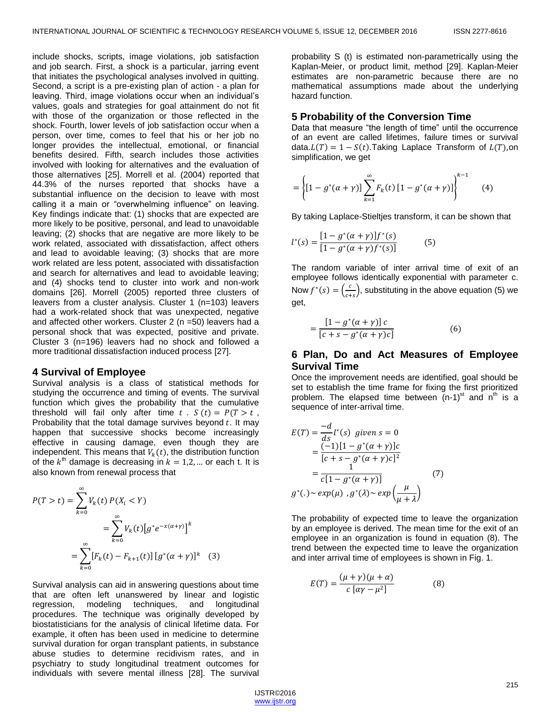include shocks, scripts, image violations, job satisfaction and job search. First, a shock is a particular, jarring event that initiates the psychological analyses involved in quitting. Second, a script is a pre-existing plan of action - a plan for leaving. Third, image violations occur when an individual's values, goals and strategies for goal attainment do not fit with those of the organization or those reflected in the shock. Fourth, lower levels of job satisfaction occur when a person, over time, comes to feel that his or her job no longer provides the intellectual, emotional, or financial benefits desired. Fifth, search includes those activities involved with looking for alternatives and the evaluation of those alternatives [25]. Morrell et al. (2004) reported that 44.3% of the nurses reported that shocks have a substantial influence on the decision to leave with most calling it a main or "overwhelming influence" on leaving. Key findings indicate that: (1) shocks that are expected are more likely to be positive, personal, and lead to unavoidable leaving; (2) shocks that are negative are more likely to be work related, associated with dissatisfaction, affect others and lead to avoidable leaving; (3) shocks that are more work related are less potent, associated with dissatisfaction and search for alternatives and lead to avoidable leaving; and (4) shocks tend to cluster into work and non-work domains [26]. Morrell (2005) reported three clusters of leavers from a cluster analysis. Cluster 1 (n=103) leavers had a work-related shock that was unexpected, negative and affected other workers. Cluster 2 (n =50) leavers had a personal shock that was expected, positive and private. Cluster 3 (n=196) leavers had no shock and followed a more traditional dissatisfaction induced process [27].

#### **4 Survival of Employee**

Survival analysis is a class of statistical methods for studying the occurrence and timing of events. The survival function which gives the probability that the cumulative threshold will fail only after time  $t$ .  $S(t) = P(T > t$ , Probability that the total damage survives beyond  $t$ . It may happen that successive shocks become increasingly effective in causing damage, even though they are independent. This means that  $V_k(t)$ , the distribution function of the  $k^{\text{th}}$  damage is decreasing in  $k = 1, 2, ...$  or each t. It is also known from renewal process that

$$
P(T > t) = \sum_{k=0}^{\infty} V_k(t) P(X_i < Y)
$$
  
= 
$$
\sum_{k=0}^{\infty} V_k(t) [g^* e^{-x(\alpha + \gamma)}]^k
$$
  
= 
$$
\sum_{k=0}^{\infty} [F_k(t) - F_{k+1}(t)] [g^* (\alpha + \gamma)]^k
$$
 (3)

Survival analysis can aid in answering questions about time that are often left unanswered by linear and logistic regression, modeling techniques, and longitudinal procedures. The technique was originally developed by biostatisticians for the analysis of clinical lifetime data. For example, it often has been used in medicine to determine survival duration for organ transplant patients, in substance abuse studies to determine recidivism rates, and in psychiatry to study longitudinal treatment outcomes for individuals with severe mental illness [28]. The survival probability S (t) is estimated non-parametrically using the Kaplan-Meier, or product limit, method [29]. Kaplan-Meier estimates are non-parametric because there are no mathematical assumptions made about the underlying hazard function.

#### **5 Probability of the Conversion Time**

Data that measure "the length of time" until the occurrence of an event are called lifetimes, failure times or survival data.  $L(T) = 1 - S(t)$ . Taking Laplace Transform of  $L(T)$ , on simplification, we get

$$
= \left\{ [1 - g^*(\alpha + \gamma)] \sum_{k=1}^{\infty} F_k(t) [1 - g^*(\alpha + \gamma)] \right\}^{k-1}
$$
 (4)

By taking Laplace-Stieltjes transform, it can be shown that

$$
l^*(s) = \frac{[1 - g^*(\alpha + \gamma)]f^*(s)}{[1 - g^*(\alpha + \gamma)f^*(s)]}
$$
(5)

The random variable of inter arrival time of exit of an employee follows identically exponential with parameter c. Now  $f^*(s) = \left(\frac{c}{s}\right)$  $\frac{c}{c+s}$ ), substituting in the above equation (5) we get,

$$
=\frac{\left[1-g^*(\alpha+\gamma)\right]c}{\left[c+s-g^*(\alpha+\gamma)c\right]}
$$
(6)

## **6 Plan, Do and Act Measures of Employee Survival Time**

Once the improvement needs are identified, goal should be set to establish the time frame for fixing the first prioritized problem. The elapsed time between  $(n-1)$ <sup>st</sup> and n<sup>th</sup> is a sequence of inter-arrival time.

$$
E(T) = \frac{-d}{ds} l^*(s) \text{ given } s = 0
$$
  
= 
$$
\frac{(-1)[1 - g^*(\alpha + \gamma)]c}{[c + s - g^*(\alpha + \gamma)c]^2}
$$
  
= 
$$
\frac{1}{c[1 - g^*(\alpha + \gamma)]}
$$
(7)  

$$
g^*(.) \sim exp(\mu), g^*(\lambda) \sim exp(\frac{\mu}{\mu + \lambda})
$$

The probability of expected time to leave the organization by an employee is derived. The mean time for the exit of an employee in an organization is found in equation (8). The trend between the expected time to leave the organization and inter arrival time of employees is shown in Fig. 1.

$$
E(T) = \frac{(\mu + \gamma)(\mu + \alpha)}{c \left[ \alpha \gamma - \mu^2 \right]} \tag{8}
$$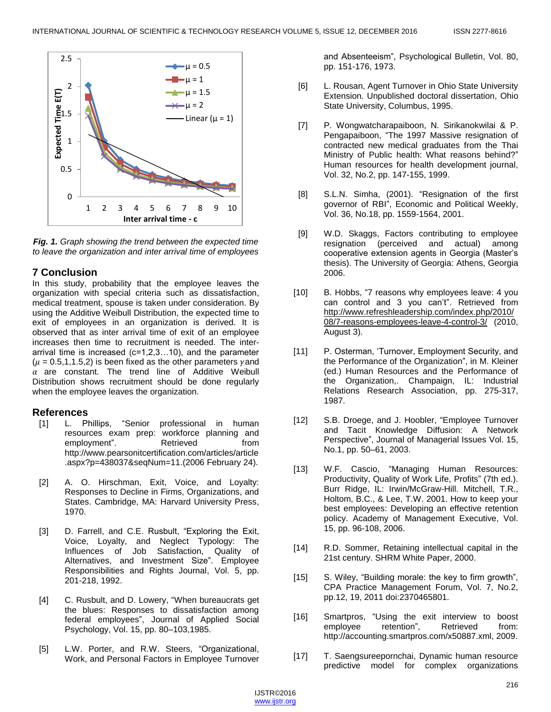

*Fig. 1. Graph showing the trend between the expected time to leave the organization and inter arrival time of employees*

# **7 Conclusion**

In this study, probability that the employee leaves the organization with special criteria such as dissatisfaction, medical treatment, spouse is taken under consideration. By using the Additive Weibull Distribution, the expected time to exit of employees in an organization is derived. It is observed that as inter arrival time of exit of an employee increases then time to recruitment is needed. The interarrival time is increased (c=1,2,3…10), and the parameter ( $\mu$  = 0.5,1,1.5,2) is been fixed as the other parameters yand  $\alpha$  are constant. The trend line of Additive Weibull Distribution shows recruitment should be done regularly when the employee leaves the organization.

# **References**

- [1] L. Phillips, "Senior professional in human resources exam prep: workforce planning and<br>employment". Retrieved from employment". Retrieved from [http://www.pearsonitcertification.com/articles/article](http://www.pearsonitcertification.com/articles/article.aspx?p=438037&seqNum=11) [.aspx?p=438037&seqNum=11.](http://www.pearsonitcertification.com/articles/article.aspx?p=438037&seqNum=11)(2006 February 24).
- [2] A. O. Hirschman, Exit, Voice, and Loyalty: Responses to Decline in Firms, Organizations, and States. Cambridge, MA: Harvard University Press, 1970.
- [3] D. Farrell, and C.E. Rusbult, "Exploring the Exit, Voice, Loyalty, and Neglect Typology: The Influences of Job Satisfaction, Quality of Alternatives, and Investment Size". Employee Responsibilities and Rights Journal, Vol. 5, pp. 201-218, 1992.
- [4] C. Rusbult, and D. Lowery, "When bureaucrats get the blues: Responses to dissatisfaction among federal employees", Journal of Applied Social Psychology, Vol. 15, pp. 80–103,1985.
- [5] L.W. Porter, and R.W. Steers, "Organizational, Work, and Personal Factors in Employee Turnover

and Absenteeism", Psychological Bulletin, Vol. 80, pp. 151-176, 1973.

- [6] L. Rousan, Agent Turnover in Ohio State University Extension. Unpublished doctoral dissertation, Ohio State University, Columbus, 1995.
- [7] P. Wongwatcharapaiboon, N. Sirikanokwilai & P. Pengapaiboon, "The 1997 Massive resignation of contracted new medical graduates from the Thai Ministry of Public health: What reasons behind?" Human resources for health development journal, Vol. 32, No.2, pp. 147-155, 1999.
- [8] S.L.N. Simha, (2001). "Resignation of the first governor of RBI", Economic and Political Weekly, Vol. 36, No.18, pp. 1559-1564, 2001.
- [9] W.D. Skaggs, Factors contributing to employee resignation (perceived and actual) among cooperative extension agents in Georgia (Master's thesis). The University of Georgia: Athens, Georgia 2006.
- [10] B. Hobbs, "7 reasons why employees leave: 4 you can control and 3 you can't". Retrieved from [http://www.refreshleadership.com/index.php/2010/](http://www.refreshleadership.com/index.php/2010/08/7-reasons-employees-leave-4-control-3/) [08/7-reasons-employees-leave-4-control-3/](http://www.refreshleadership.com/index.php/2010/08/7-reasons-employees-leave-4-control-3/) (2010, August 3).
- [11] P. Osterman, 'Turnover, Employment Security, and the Performance of the Organization", in M. Kleiner (ed.) Human Resources and the Performance of the Organization,. Champaign, IL: Industrial Relations Research Association, pp. 275-317, 1987.
- [12] S.B. Droege, and J. Hoobler, "Employee Turnover and Tacit Knowledge Diffusion: A Network Perspective", Journal of Managerial Issues Vol. 15, No.1, pp. 50–61, 2003.
- [13] W.F. Cascio, "Managing Human Resources: Productivity, Quality of Work Life, Profits" (7th ed.). Burr Ridge, IL: Irwin/McGraw-Hill. Mitchell, T.R., Holtom, B.C., & Lee, T.W. 2001. How to keep your best employees: Developing an effective retention policy. Academy of Management Executive, Vol. 15, pp. 96-108, 2006.
- [14] R.D. Sommer, Retaining intellectual capital in the 21st century. SHRM White Paper, 2000.
- [15] S. Wiley, "Building morale: the key to firm growth", CPA Practice Management Forum, Vol. 7, No.2, pp.12, 19, 2011 doi:2370465801.
- [16] Smartpros, "Using the exit interview to boost employee retention", Retrieved from: [http://accounting.smartpros.com/x50887.xml,](http://accounting.smartpros.com/x50887.xml) 2009.
- [17] T. Saengsureepornchai, Dynamic human resource predictive model for complex organizations